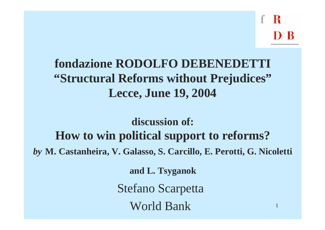1

# **fondazione RODOLFO DEBENEDETTI "Structural Reforms without Prejudices" Lecce, June 19, 2004**

**discussion of: How to win political support to reforms?** *by* **M. Castanheira, V. Galasso, S. Carcillo, E. Perotti, G. Nicoletti**

**and L. Tsyganok**

Stefano Scarpetta

World Bank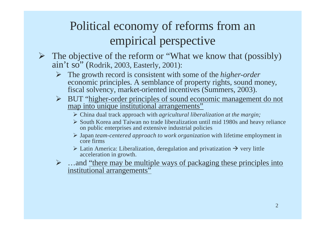# Political economy of reforms from an empirical perspective

- The objective of the reform or "What we know that (possibly) ain't so" (Rodrik, 2003, Easterly, 2001):
	- ÿ The growth record is consistent with some of the *higher-order*  economic principles. A semblance of property rights, sound money, fiscal solvency, market-oriented incentives (Summers, 2003).
	- ÿ BUT "higher-order principles of sound economic management do not map into unique institutional arrangements"
		- ÿ China dual track approach with *agricultural liberalization at the margin;*
		- $\triangleright$  South Korea and Taiwan no trade liberalization until mid 1980s and heavy reliance on public enterprises and extensive industrial policies
		- ÿ Japan *team-centered approach to work organization* with lifetime employment in core firms
		- $\triangleright$  Latin America: Liberalization, deregulation and privatization  $\rightarrow$  very little acceleration in growth.
	- $\triangleright$  …and "there may be multiple ways of packaging these principles into institutional arrangements"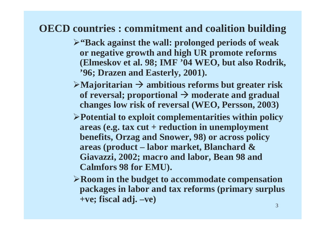### **OECD countries : commitment and coalition building**

- ÿ**"Back against the wall: prolonged periods of weak or negative growth and high UR promote reforms (Elmeskov et al. 98; IMF '04 WEO, but also Rodrik, '96; Drazen and Easterly, 2001).**
- $\triangleright$ Majoritarian  $\rightarrow$  ambitious reforms but greater risk of reversal; proportional  $\rightarrow$  moderate and gradual **changes low risk of reversal (WEO, Persson, 2003)**
- ÿ**Potential to exploit complementarities within policy areas (e.g. tax cut + reduction in unemployment benefits, Orzag and Snower, 98) or across policy areas (product – labor market, Blanchard & Giavazzi, 2002; macro and labor, Bean 98 and Calmfors 98 for EMU).**
- ÿ**Room in the budget to accommodate compensation packages in labor and tax reforms (primary surplus +ve; fiscal adj. –ve)**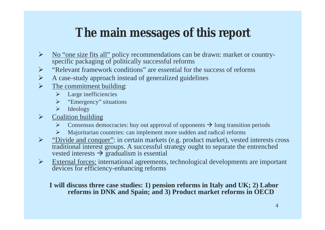# **The main messages of this report**

- $\triangleright$  No "one size fits all" policy recommendations can be drawn: market or countryspecific packaging of politically successful reforms
- $\triangleright$  "Relevant framework conditions" are essential for the success of reforms
- $\triangleright$  A case-study approach instead of generalized guidelines
- $\triangleright$  The commitment building:
	- $\blacktriangleright$  Large inefficiencies
	- $\triangleright$  "Emergency" situations
	- $\blacktriangleright$  Ideology
- Coalition building
	- $\triangleright$  Consensus democracies: buy out approval of opponents  $\rightarrow$  long transition periods
	- $\triangleright$  Majoritarian countries: can implement more sudden and radical reforms
- $\triangleright$  "Divide and conquer": in certain markets (e.g. product market), vested interests cross traditional interest groups. A successful strategy ought to separate the entrenched vested interests  $\rightarrow$  gradualism is essential
- $\triangleright$  External forces: international agreements, technological developments are important devices for efficiency-enhancing reforms

#### **I will discuss three case studies: 1) pension reforms in Italy and UK; 2) Labor reforms in DNK and Spain; and 3) Product market reforms in OECD**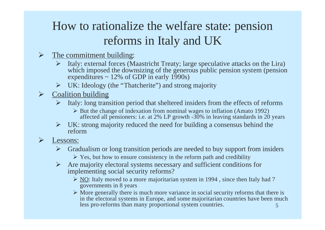# How to rationalize the welfare state: pension reforms in Italy and UK

#### $\triangleright$  The commitment building:

- $\triangleright$  Italy: external forces (Maastricht Treaty; large speculative attacks on the Lira) which imposed the downsizing of the generous public pension system (pension expenditures  $\sim$  12% of GDP in early 1990s)
- $\triangleright$  UK: Ideology (the "Thatcherite") and strong majority
- $\triangleright$  Coalition building
	- $\triangleright$  Italy: long transition period that sheltered insiders from the effects of reforms
		- $\triangleright$  But the change of indexation from nominal wages to inflation (Amato 1992) affected all pensioners: i.e. at 2% LP growth -30% in leaving standards in 20 years
	- $\triangleright$  UK: strong majority reduced the need for building a consensus behind the reform

#### $\triangleright$  Lessons:

- $\triangleright$  Gradualism or long transition periods are needed to buy support from insiders
	- $\triangleright$  Yes, but how to ensure consistency in the reform path and credibility
- $\triangleright$  Are majority electoral systems necessary and sufficient conditions for implementing social security reforms?
	- $\triangleright$  NO: Italy moved to a more majoritarian system in 1994, since then Italy had 7 governments in 8 years
	- 5  $\triangleright$  More generally there is much more variance in social security reforms that there is in the electoral systems in Europe, and some majoritarian countries have been much less pro-reforms than many proportional system countries.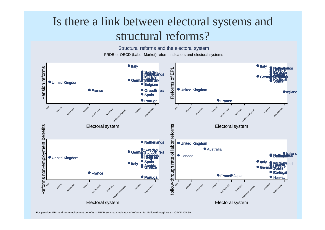### Is there a link between electoral systems and structural reforms?

FRDB or OECD (Labor Market) reform indicators and electoral systems Structural reforms and the electoral system



For pension, EPL and non-employment benefits = FRDB summary indicator of reforms; for Follow-through rate = OECD IJS 99.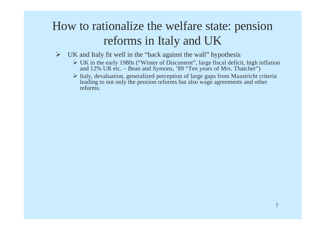## How to rationalize the welfare state: pension reforms in Italy and UK

- $\triangleright$  UK and Italy fit well in the "back against the wall" hypothesis
	- $\triangleright$  UK in the early 1980s ("Winter of Discontent", large fiscal deficit, high inflation and 12% UR etc. – Bean and Symons, '89 "Ten years of Mrs. Thatcher")
	- $\triangleright$  Italy, devaluation, generalized perception of large gaps from Maastricht criteria leading to not only the pension reforms but also wage agreements and other reforms.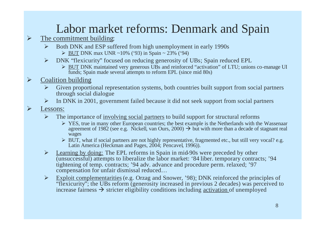# Labor market reforms: Denmark and Spain

- The commitment building:
	- $\triangleright$  Both DNK and ESP suffered from high unemployment in early 1990s
		- $\triangleright$  BUT DNK max UNR ~10% ('93) in Spain ~ 23% ('94)
	- $\triangleright$  DNK "flexicurity" focused on reducing generosity of UBs; Spain reduced EPL
		- ÿ BUT DNK maintained very generous UBs and reinforced "activation" of LTU; unions co-manage UI funds; Spain made several attempts to reform EPL (since mid 80s)
- Coalition building
	- $\triangleright$  Given proportional representation systems, both countries built support from social partners through social dialogue
	- $\triangleright$  In DNK in 2001, government failed because it did not seek support from social partners
- Lessons:
	- $\triangleright$  The importance of <u>involving social partners</u> to build support for structural reforms
		- $\triangleright$  YES, true in many other European countries; the best example is the Netherlands with the Wassenaar agreement of 1982 (see e.g. Nickell, van Ours, 2000)  $\rightarrow$  but with more than a decade of stagnant real wages
		- $\triangleright$  BUT, what if social partners are not highly representative, fragmented etc., but still very vocal? e.g. Latin America (Heckman and Pages, 2004; Pencavel, 1996)).
	- $\triangleright$  Learning by doing: The EPL reforms in Spain in mid-90s were preceded by other (unsuccessful) attempts to liberalize the labor market: '84 liber. temporary contracts; '94 tightening of temp. contracts; '94 adv. advance and procedure perm. relaxed; '97 compensation for unfair dismissal reduced…
	- $\triangleright$  Exploit complementarities (e.g. Orzag and Snower, '98): DNK reinforced the principles of "flexicurity"; the UBs reform (generosity increased in previous 2 decades) was perceived to increase fairness  $\rightarrow$  stricter eligibility conditions including activation of unemployed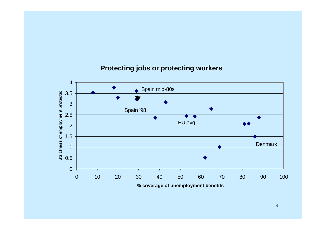#### **Protecting jobs or protecting workers**

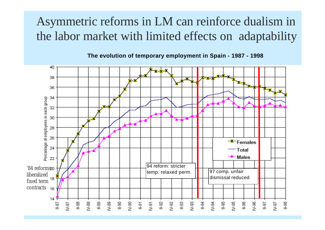## Asymmetric reforms in LM can reinforce dualism in the labor market with limited effects on adaptability

**The evolution of temporary employment in Spain - 1987 - 1998**

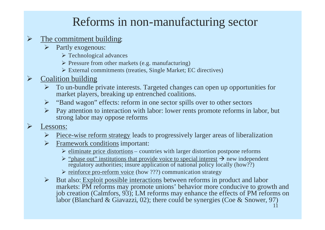### Reforms in non-manufacturing sector

#### The commitment building:

- $\triangleright$  Partly exogenous:
	- $\triangleright$  Technological advances
	- $\triangleright$  Pressure from other markets (e.g. manufacturing)
	- $\triangleright$  External commitments (treaties, Single Market; EC directives)
- Coalition building
	- $\triangleright$  To un-bundle private interests. Targeted changes can open up opportunities for market players, breaking up entrenched coalitions.
	- $\triangleright$  "Band wagon" effects: reform in one sector spills over to other sectors
	- $\triangleright$  Pay attention to interaction with labor: lower rents promote reforms in labor, but strong labor may oppose reforms
- Lessons:
	- $\triangleright$  Piece-wise reform strategy leads to progressively larger areas of liberalization
	- $\triangleright$  Framework conditions important:
		- $\triangleright$  eliminate price distortions countries with larger distortion postpone reforms
		- $\triangleright$  "phase out" institutions that provide voice to special interest  $\rightarrow$  new independent regulatory authorities; insure application of national policy locally (how??)
		- $\triangleright$  reinforce pro-reform voice (how ???) communication strategy
	- $\triangleright$  But also: Exploit possible interactions between reforms in product and labor markets: PM reforms may promote unions' behavior more conducive to growth and job creation (Calmfors, 93); LM reforms may enhance the effects of PM reforms on labor (Blanchard & Giavazzi, 02); there could be synergies (Coe & Snower, 97)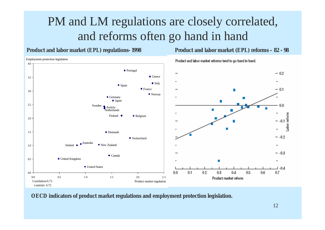## PM and LM regulations are closely correlated, and reforms often go hand in hand

#### **Product and labor market (EPL) regulations-1998 Product and labor market (EPL) reforms – 82 - 98**

ployment protection legislation



**OECD indicators of product market regulations and employment protection legislation.**